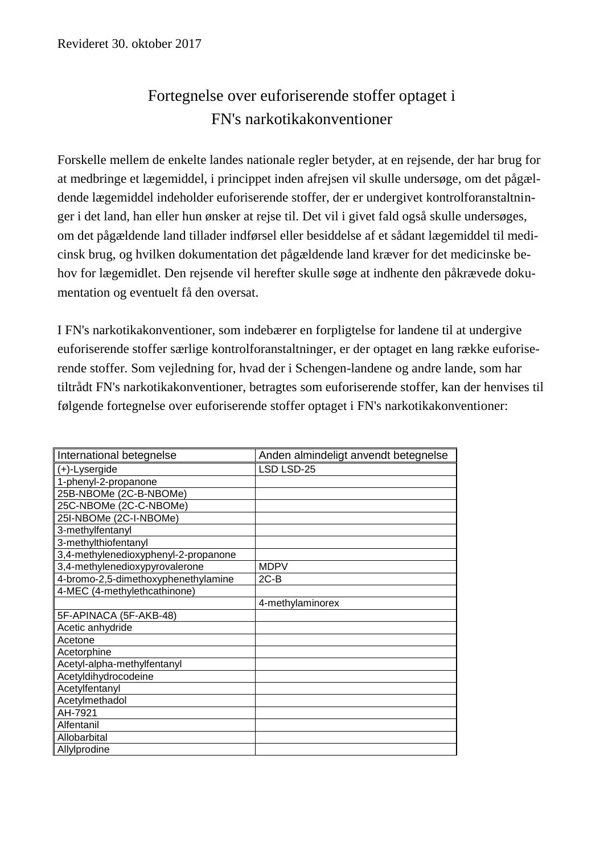## Fortegnelse over euforiserende stoffer optaget i FN's narkotikakonventioner

Forskelle mellem de enkelte landes nationale regler betyder, at en rejsende, der har brug for at medbringe et lægemiddel, i princippet inden afrejsen vil skulle undersøge, om det pågældende lægemiddel indeholder euforiserende stoffer, der er undergivet kontrolforanstaltninger i det land, han eller hun ønsker at rejse til. Det vil i givet fald også skulle undersøges, om det pågældende land tillader indførsel eller besiddelse af et sådant lægemiddel til medicinsk brug, og hvilken dokumentation det pågældende land kræver for det medicinske behov for lægemidlet. Den rejsende vil herefter skulle søge at indhente den påkrævede dokumentation og eventuelt få den oversat.

I FN's narkotikakonventioner, som indebærer en forpligtelse for landene til at undergive euforiserende stoffer særlige kontrolforanstaltninger, er der optaget en lang række euforiserende stoffer. Som vejledning for, hvad der i Schengen-landene og andre lande, som har tiltrådt FN's narkotikakonventioner, betragtes som euforiserende stoffer, kan der henvises til følgende fortegnelse over euforiserende stoffer optaget i FN's narkotikakonventioner:

| International betegnelse             | Anden almindeligt anvendt betegnelse |
|--------------------------------------|--------------------------------------|
| $(+)$ -Lysergide                     | LSD LSD-25                           |
| 1-phenyl-2-propanone                 |                                      |
| 25B-NBOMe (2C-B-NBOMe)               |                                      |
| 25C-NBOMe (2C-C-NBOMe)               |                                      |
| 25I-NBOMe (2C-I-NBOMe)               |                                      |
| 3-methylfentanyl                     |                                      |
| 3-methylthiofentanyl                 |                                      |
| 3,4-methylenedioxyphenyl-2-propanone |                                      |
| 3,4-methylenedioxypyrovalerone       | <b>MDPV</b>                          |
| 4-bromo-2,5-dimethoxyphenethylamine  | $2C-B$                               |
| 4-MEC (4-methylethcathinone)         |                                      |
|                                      | 4-methylaminorex                     |
| 5F-APINACA (5F-AKB-48)               |                                      |
| Acetic anhydride                     |                                      |
| Acetone                              |                                      |
| Acetorphine                          |                                      |
| Acetyl-alpha-methylfentanyl          |                                      |
| Acetyldihydrocodeine                 |                                      |
| Acetylfentanyl                       |                                      |
| Acetylmethadol                       |                                      |
| AH-7921                              |                                      |
| Alfentanil                           |                                      |
| Allobarbital                         |                                      |
| Allylprodine                         |                                      |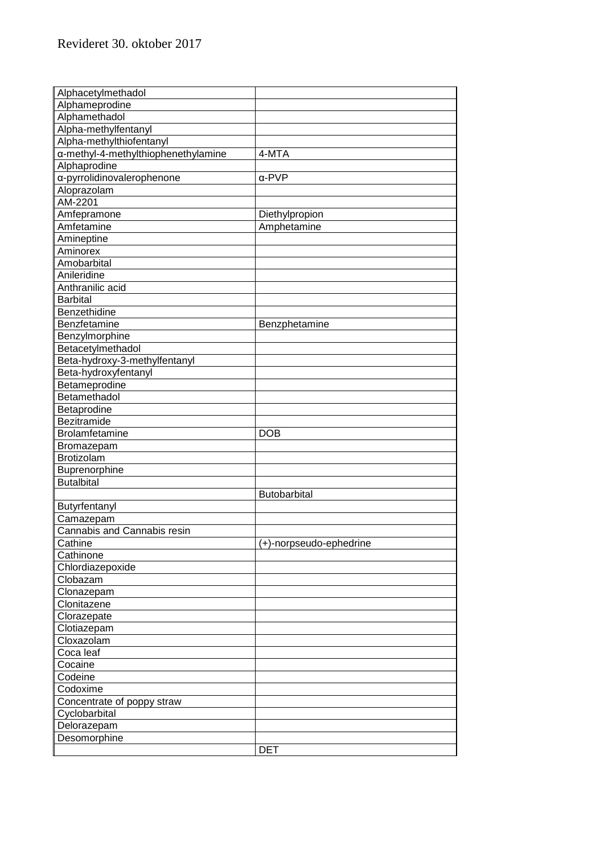| Alphacetylmethadol                  |                         |
|-------------------------------------|-------------------------|
| Alphameprodine                      |                         |
| Alphamethadol                       |                         |
| Alpha-methylfentanyl                |                         |
| Alpha-methylthiofentanyl            |                         |
| a-methyl-4-methylthiophenethylamine | 4-MTA                   |
| Alphaprodine                        |                         |
| a-pyrrolidinovalerophenone          | $\alpha$ -PVP           |
| Aloprazolam                         |                         |
| AM-2201                             |                         |
| Amfepramone                         | Diethylpropion          |
| Amfetamine                          | Amphetamine             |
| Amineptine                          |                         |
| Aminorex                            |                         |
| Amobarbital                         |                         |
| Anileridine                         |                         |
| Anthranilic acid                    |                         |
| <b>Barbital</b>                     |                         |
| Benzethidine                        |                         |
| Benzfetamine                        | Benzphetamine           |
| Benzylmorphine                      |                         |
| Betacetylmethadol                   |                         |
| Beta-hydroxy-3-methylfentanyl       |                         |
| Beta-hydroxyfentanyl                |                         |
| Betameprodine                       |                         |
| Betamethadol                        |                         |
| Betaprodine                         |                         |
| Bezitramide                         |                         |
| Brolamfetamine                      | <b>DOB</b>              |
| Bromazepam                          |                         |
| <b>Brotizolam</b>                   |                         |
| Buprenorphine                       |                         |
| <b>Butalbital</b>                   |                         |
|                                     | Butobarbital            |
| Butyrfentanyl                       |                         |
| Camazepam                           |                         |
| Cannabis and Cannabis resin         |                         |
| Cathine                             | (+)-norpseudo-ephedrine |
| Cathinone                           |                         |
| Chlordiazepoxide                    |                         |
| Clobazam                            |                         |
| Clonazepam                          |                         |
| Clonitazene                         |                         |
| Clorazepate                         |                         |
| Clotiazepam                         |                         |
| Cloxazolam                          |                         |
| Coca leaf                           |                         |
| Cocaine                             |                         |
| Codeine                             |                         |
| Codoxime                            |                         |
| Concentrate of poppy straw          |                         |
| Cyclobarbital                       |                         |
| Delorazepam                         |                         |
| Desomorphine                        |                         |
|                                     | <b>DET</b>              |
|                                     |                         |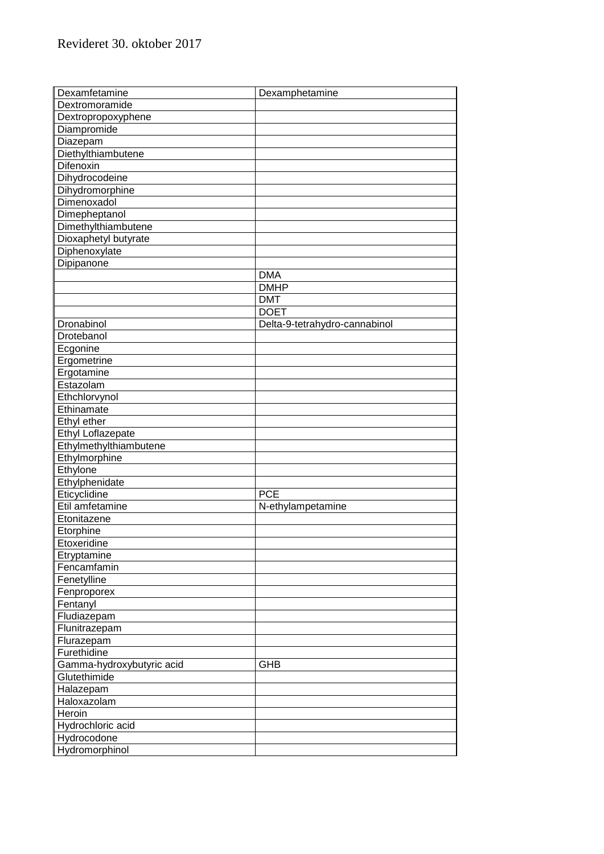| Dexamfetamine             | Dexamphetamine                |
|---------------------------|-------------------------------|
| Dextromoramide            |                               |
| Dextropropoxyphene        |                               |
| Diampromide               |                               |
| Diazepam                  |                               |
| Diethylthiambutene        |                               |
| Difenoxin                 |                               |
| Dihydrocodeine            |                               |
| Dihydromorphine           |                               |
| Dimenoxadol               |                               |
| Dimepheptanol             |                               |
| Dimethylthiambutene       |                               |
| Dioxaphetyl butyrate      |                               |
| Diphenoxylate             |                               |
| Dipipanone                |                               |
|                           | <b>DMA</b>                    |
|                           | <b>DMHP</b>                   |
|                           | <b>DMT</b>                    |
|                           | <b>DOET</b>                   |
| Dronabinol                | Delta-9-tetrahydro-cannabinol |
| Drotebanol                |                               |
| Ecgonine                  |                               |
| Ergometrine               |                               |
| Ergotamine                |                               |
| Estazolam                 |                               |
| Ethchlorvynol             |                               |
| Ethinamate                |                               |
| Ethyl ether               |                               |
| Ethyl Loflazepate         |                               |
| Ethylmethylthiambutene    |                               |
| Ethylmorphine             |                               |
| Ethylone                  |                               |
| Ethylphenidate            |                               |
| Eticyclidine              | <b>PCE</b>                    |
| Etil amfetamine           | N-ethylampetamine             |
| Etonitazene               |                               |
| Etorphine                 |                               |
| Etoxeridine               |                               |
| Etryptamine               |                               |
| Fencamfamin               |                               |
| Fenetylline               |                               |
| Fenproporex               |                               |
| Fentanyl                  |                               |
| Fludiazepam               |                               |
| Flunitrazepam             |                               |
| Flurazepam                |                               |
| Furethidine               |                               |
| Gamma-hydroxybutyric acid | <b>GHB</b>                    |
| Glutethimide              |                               |
| Halazepam                 |                               |
| Haloxazolam               |                               |
| Heroin                    |                               |
| Hydrochloric acid         |                               |
| Hydrocodone               |                               |
| Hydromorphinol            |                               |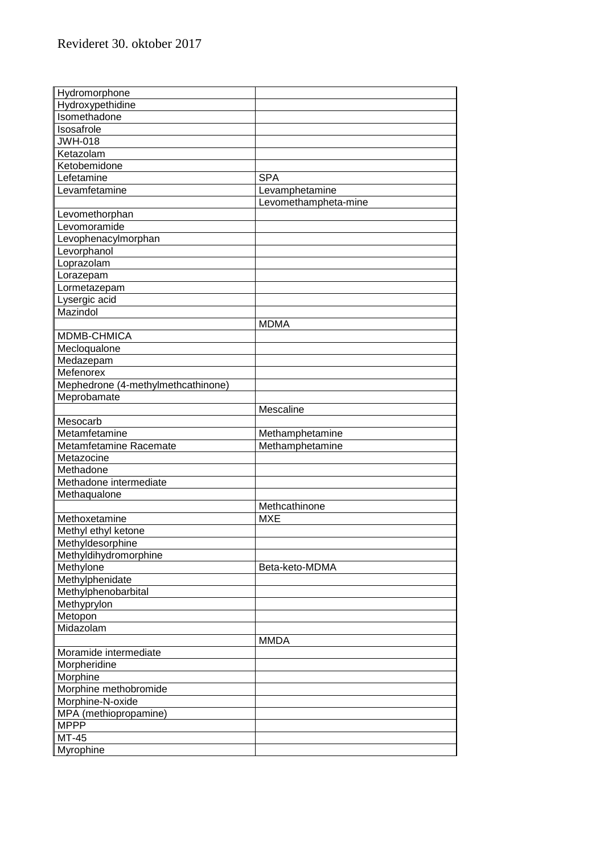| Hydromorphone                      |                      |
|------------------------------------|----------------------|
| Hydroxypethidine                   |                      |
| Isomethadone                       |                      |
| Isosafrole                         |                      |
| <b>JWH-018</b>                     |                      |
| Ketazolam                          |                      |
| Ketobemidone                       |                      |
| Lefetamine                         | <b>SPA</b>           |
| Levamfetamine                      | Levamphetamine       |
|                                    | Levomethampheta-mine |
| Levomethorphan                     |                      |
| Levomoramide                       |                      |
| Levophenacylmorphan                |                      |
| Levorphanol                        |                      |
| Loprazolam                         |                      |
| Lorazepam                          |                      |
| Lormetazepam                       |                      |
| Lysergic acid                      |                      |
| Mazindol                           |                      |
|                                    | <b>MDMA</b>          |
| MDMB-CHMICA                        |                      |
| Mecloqualone                       |                      |
| Medazepam                          |                      |
| Mefenorex                          |                      |
| Mephedrone (4-methylmethcathinone) |                      |
| Meprobamate                        |                      |
|                                    | Mescaline            |
| Mesocarb                           |                      |
| Metamfetamine                      | Methamphetamine      |
| Metamfetamine Racemate             | Methamphetamine      |
| Metazocine                         |                      |
| Methadone                          |                      |
| Methadone intermediate             |                      |
| Methaqualone                       |                      |
|                                    | Methcathinone        |
|                                    | <b>MXE</b>           |
| Methoxetamine                      |                      |
| Methyl ethyl ketone                |                      |
| Methyldesorphine                   |                      |
| Methyldihydromorphine              |                      |
| Methylone                          | Beta-keto-MDMA       |
| Methylphenidate                    |                      |
| Methylphenobarbital                |                      |
| Methyprylon                        |                      |
| Metopon                            |                      |
| Midazolam                          |                      |
|                                    | <b>MMDA</b>          |
| Moramide intermediate              |                      |
| Morpheridine                       |                      |
| Morphine                           |                      |
| Morphine methobromide              |                      |
| Morphine-N-oxide                   |                      |
| MPA (methiopropamine)              |                      |
| <b>MPPP</b>                        |                      |
| MT-45                              |                      |
| Myrophine                          |                      |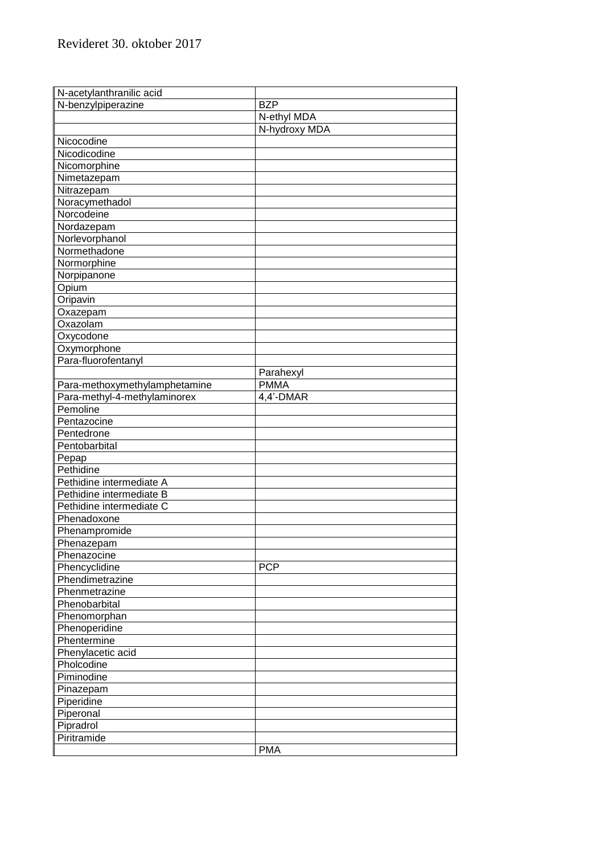| N-acetylanthranilic acid      |               |
|-------------------------------|---------------|
| N-benzylpiperazine            | <b>BZP</b>    |
|                               | N-ethyl MDA   |
|                               |               |
|                               | N-hydroxy MDA |
| Nicocodine                    |               |
| Nicodicodine                  |               |
| Nicomorphine                  |               |
| Nimetazepam                   |               |
| Nitrazepam                    |               |
| Noracymethadol                |               |
| Norcodeine                    |               |
| Nordazepam                    |               |
| Norlevorphanol                |               |
| Normethadone                  |               |
| Normorphine                   |               |
| Norpipanone                   |               |
| Opium                         |               |
| Oripavin                      |               |
| Oxazepam                      |               |
| Oxazolam                      |               |
| Oxycodone                     |               |
| Oxymorphone                   |               |
| Para-fluorofentanyl           |               |
|                               | Parahexyl     |
| Para-methoxymethylamphetamine | <b>PMMA</b>   |
| Para-methyl-4-methylaminorex  | 4,4'-DMAR     |
| Pemoline                      |               |
| Pentazocine                   |               |
| Pentedrone                    |               |
| Pentobarbital                 |               |
| Pepap                         |               |
| Pethidine                     |               |
| Pethidine intermediate A      |               |
| Pethidine intermediate B      |               |
| Pethidine intermediate C      |               |
| Phenadoxone                   |               |
| Phenampromide                 |               |
| Phenazepam                    |               |
| Phenazocine                   |               |
| Phencyclidine                 | <b>PCP</b>    |
| Phendimetrazine               |               |
| Phenmetrazine                 |               |
| Phenobarbital                 |               |
| Phenomorphan                  |               |
|                               |               |
| Phenoperidine                 |               |
| Phentermine                   |               |
| Phenylacetic acid             |               |
| Pholcodine                    |               |
| Piminodine                    |               |
| Pinazepam                     |               |
| Piperidine                    |               |
| Piperonal                     |               |
| Pipradrol                     |               |
| Piritramide                   |               |
|                               | <b>PMA</b>    |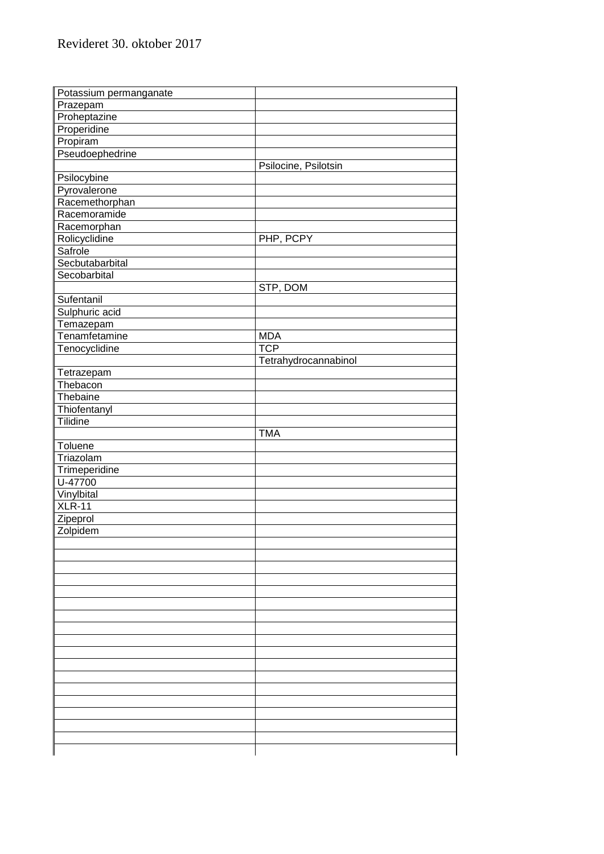| Potassium permanganate     |                          |  |
|----------------------------|--------------------------|--|
| Prazepam                   |                          |  |
| Proheptazine               |                          |  |
| Properidine                |                          |  |
| Propiram                   |                          |  |
| Pseudoephedrine            |                          |  |
|                            | Psilocine, Psilotsin     |  |
| Psilocybine                |                          |  |
| Pyrovalerone               |                          |  |
| Racemethorphan             |                          |  |
| Racemoramide               |                          |  |
| Racemorphan                |                          |  |
| Rolicyclidine              | PHP, PCPY                |  |
| Safrole                    |                          |  |
| Secbutabarbital            |                          |  |
| Secobarbital               |                          |  |
|                            | STP, DOM                 |  |
| Sufentanil                 |                          |  |
| Sulphuric acid             |                          |  |
|                            |                          |  |
| Temazepam<br>Tenamfetamine |                          |  |
|                            | <b>MDA</b><br><b>TCP</b> |  |
| Tenocyclidine              |                          |  |
|                            | Tetrahydrocannabinol     |  |
| Tetrazepam                 |                          |  |
| Thebacon                   |                          |  |
| Thebaine                   |                          |  |
| Thiofentanyl               |                          |  |
| Tilidine                   |                          |  |
|                            | <b>TMA</b>               |  |
| Toluene                    |                          |  |
| Triazolam                  |                          |  |
| Trimeperidine              |                          |  |
| U-47700                    |                          |  |
| Vinylbital                 |                          |  |
| $XLR-11$                   |                          |  |
| Zipeprol                   |                          |  |
| Zolpidem                   |                          |  |
|                            |                          |  |
|                            |                          |  |
|                            |                          |  |
|                            |                          |  |
|                            |                          |  |
|                            |                          |  |
|                            |                          |  |
|                            |                          |  |
|                            |                          |  |
|                            |                          |  |
|                            |                          |  |
|                            |                          |  |
|                            |                          |  |
|                            |                          |  |
|                            |                          |  |
|                            |                          |  |
|                            |                          |  |
|                            |                          |  |